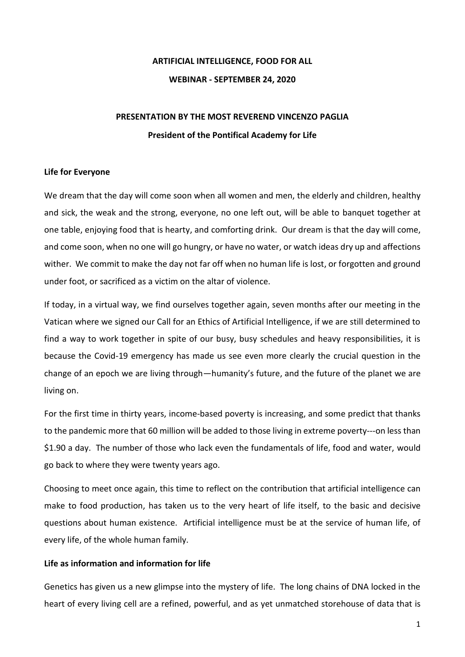# **ARTIFICIAL INTELLIGENCE, FOOD FOR ALL**

#### **WEBINAR - SEPTEMBER 24, 2020**

# **PRESENTATION BY THE MOST REVEREND VINCENZO PAGLIA President of the Pontifical Academy for Life**

### **Life for Everyone**

We dream that the day will come soon when all women and men, the elderly and children, healthy and sick, the weak and the strong, everyone, no one left out, will be able to banquet together at one table, enjoying food that is hearty, and comforting drink. Our dream is that the day will come, and come soon, when no one will go hungry, or have no water, or watch ideas dry up and affections wither. We commit to make the day not far off when no human life is lost, or forgotten and ground under foot, or sacrificed as a victim on the altar of violence.

If today, in a virtual way, we find ourselves together again, seven months after our meeting in the Vatican where we signed our Call for an Ethics of Artificial Intelligence, if we are still determined to find a way to work together in spite of our busy, busy schedules and heavy responsibilities, it is because the Covid-19 emergency has made us see even more clearly the crucial question in the change of an epoch we are living through—humanity's future, and the future of the planet we are living on.

For the first time in thirty years, income-based poverty is increasing, and some predict that thanks to the pandemic more that 60 million will be added to those living in extreme poverty---on less than \$1.90 a day. The number of those who lack even the fundamentals of life, food and water, would go back to where they were twenty years ago.

Choosing to meet once again, this time to reflect on the contribution that artificial intelligence can make to food production, has taken us to the very heart of life itself, to the basic and decisive questions about human existence. Artificial intelligence must be at the service of human life, of every life, of the whole human family.

### **Life as information and information for life**

Genetics has given us a new glimpse into the mystery of life. The long chains of DNA locked in the heart of every living cell are a refined, powerful, and as yet unmatched storehouse of data that is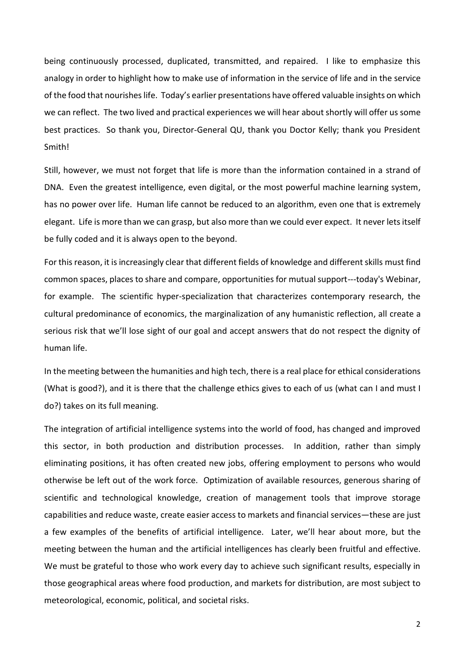being continuously processed, duplicated, transmitted, and repaired. I like to emphasize this analogy in order to highlight how to make use of information in the service of life and in the service of the food that nourishes life. Today's earlier presentations have offered valuable insights on which we can reflect. The two lived and practical experiences we will hear about shortly will offer us some best practices. So thank you, Director-General QU, thank you Doctor Kelly; thank you President Smith!

Still, however, we must not forget that life is more than the information contained in a strand of DNA. Even the greatest intelligence, even digital, or the most powerful machine learning system, has no power over life. Human life cannot be reduced to an algorithm, even one that is extremely elegant. Life is more than we can grasp, but also more than we could ever expect. It never lets itself be fully coded and it is always open to the beyond.

For this reason, it is increasingly clear that different fields of knowledge and different skills must find common spaces, places to share and compare, opportunities for mutual support---today's Webinar, for example. The scientific hyper-specialization that characterizes contemporary research, the cultural predominance of economics, the marginalization of any humanistic reflection, all create a serious risk that we'll lose sight of our goal and accept answers that do not respect the dignity of human life.

In the meeting between the humanities and high tech, there is a real place for ethical considerations (What is good?), and it is there that the challenge ethics gives to each of us (what can I and must I do?) takes on its full meaning.

The integration of artificial intelligence systems into the world of food, has changed and improved this sector, in both production and distribution processes. In addition, rather than simply eliminating positions, it has often created new jobs, offering employment to persons who would otherwise be left out of the work force. Optimization of available resources, generous sharing of scientific and technological knowledge, creation of management tools that improve storage capabilities and reduce waste, create easier access to markets and financial services—these are just a few examples of the benefits of artificial intelligence. Later, we'll hear about more, but the meeting between the human and the artificial intelligences has clearly been fruitful and effective. We must be grateful to those who work every day to achieve such significant results, especially in those geographical areas where food production, and markets for distribution, are most subject to meteorological, economic, political, and societal risks.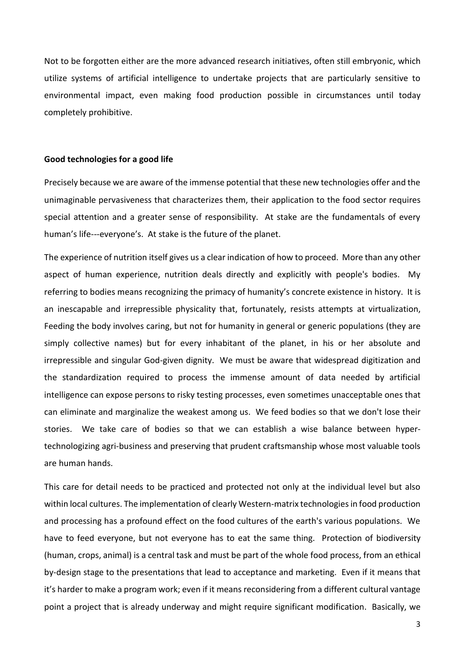Not to be forgotten either are the more advanced research initiatives, often still embryonic, which utilize systems of artificial intelligence to undertake projects that are particularly sensitive to environmental impact, even making food production possible in circumstances until today completely prohibitive.

#### **Good technologies for a good life**

Precisely because we are aware of the immense potential that these new technologies offer and the unimaginable pervasiveness that characterizes them, their application to the food sector requires special attention and a greater sense of responsibility. At stake are the fundamentals of every human's life---everyone's. At stake is the future of the planet.

The experience of nutrition itself gives us a clear indication of how to proceed. More than any other aspect of human experience, nutrition deals directly and explicitly with people's bodies. My referring to bodies means recognizing the primacy of humanity's concrete existence in history. It is an inescapable and irrepressible physicality that, fortunately, resists attempts at virtualization, Feeding the body involves caring, but not for humanity in general or generic populations (they are simply collective names) but for every inhabitant of the planet, in his or her absolute and irrepressible and singular God-given dignity. We must be aware that widespread digitization and the standardization required to process the immense amount of data needed by artificial intelligence can expose persons to risky testing processes, even sometimes unacceptable ones that can eliminate and marginalize the weakest among us. We feed bodies so that we don't lose their stories. We take care of bodies so that we can establish a wise balance between hypertechnologizing agri-business and preserving that prudent craftsmanship whose most valuable tools are human hands.

This care for detail needs to be practiced and protected not only at the individual level but also within local cultures. The implementation of clearly Western-matrix technologies in food production and processing has a profound effect on the food cultures of the earth's various populations. We have to feed everyone, but not everyone has to eat the same thing. Protection of biodiversity (human, crops, animal) is a central task and must be part of the whole food process, from an ethical by-design stage to the presentations that lead to acceptance and marketing. Even if it means that it's harder to make a program work; even if it means reconsidering from a different cultural vantage point a project that is already underway and might require significant modification. Basically, we

3